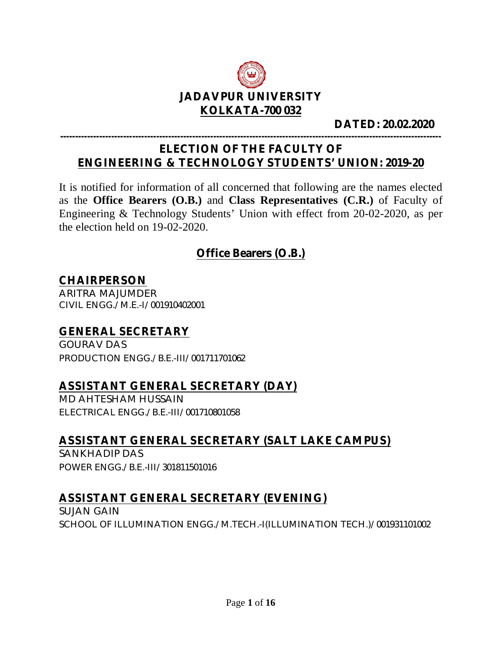

#### **DATED: 20.02.2020**

#### **------------------------------------------------------------------------------------------------------------------------------- ELECTION OF THE FACULTY OF ENGINEERING & TECHNOLOGY STUDENTS' UNION: 2019-20**

It is notified for information of all concerned that following are the names elected as the **Office Bearers (O.B.)** and **Class Representatives (C.R.)** of Faculty of Engineering & Technology Students' Union with effect from 20-02-2020, as per the election held on 19-02-2020.

### **Office Bearers (O.B.)**

#### **CHAIRPERSON**

ARITRA MAJUMDER CIVIL ENGG./M.E.-I/001910402001

# **GENERAL SECRETARY**

GOURAV DAS PRODUCTION ENGG./B.E.-III/001711701062

#### **ASSISTANT GENERAL SECRETARY (DAY)**

MD AHTESHAM HUSSAIN ELECTRICAL ENGG./B.E.-III/001710801058

#### **ASSISTANT GENERAL SECRETARY (SALT LAKE CAMPUS)**

SANKHADIP DAS POWER ENGG./B.E.-III/301811501016

#### **ASSISTANT GENERAL SECRETARY (EVENING)**

SUJAN GAIN SCHOOL OF ILLUMINATION ENGG./M.TECH.-I(ILLUMINATION TECH.)/001931101002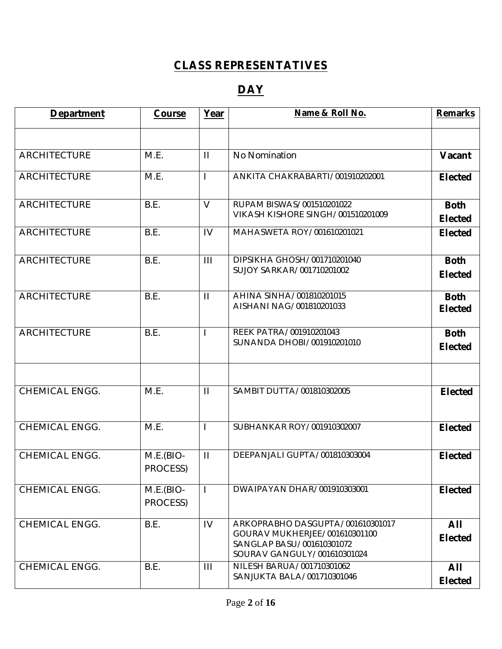## **CLASS REPRESENTATIVES**

## **DAY**

| <b>Department</b>     | Course                  | Year           | Name & Roll No.                                                                                                               | <b>Remarks</b>                |
|-----------------------|-------------------------|----------------|-------------------------------------------------------------------------------------------------------------------------------|-------------------------------|
|                       |                         |                |                                                                                                                               |                               |
| <b>ARCHITECTURE</b>   | M.E.                    | $\mathbf{H}$   | No Nomination                                                                                                                 | Vacant                        |
| <b>ARCHITECTURE</b>   | M.E.                    | $\mathbf{I}$   | ANKITA CHAKRABARTI/001910202001                                                                                               | <b>Elected</b>                |
| <b>ARCHITECTURE</b>   | B.E.                    | $\vee$         | RUPAM BISWAS/001510201022<br>VIKASH KISHORE SINGH/001510201009                                                                | <b>Both</b><br><b>Elected</b> |
| <b>ARCHITECTURE</b>   | B.E.                    | IV             | MAHASWETA ROY/001610201021                                                                                                    | <b>Elected</b>                |
| <b>ARCHITECTURE</b>   | B.E.                    | $\mathbf{III}$ | DIPSIKHA GHOSH/001710201040<br>SUJOY SARKAR/001710201002                                                                      | <b>Both</b><br><b>Elected</b> |
| <b>ARCHITECTURE</b>   | B.E.                    | $\mathbf{H}$   | AHINA SINHA/001810201015<br>AISHANI NAG/001810201033                                                                          | <b>Both</b><br><b>Elected</b> |
| <b>ARCHITECTURE</b>   | B.E.                    |                | REEK PATRA/001910201043<br>SUNANDA DHOBI/001910201010                                                                         | <b>Both</b><br><b>Elected</b> |
| <b>CHEMICAL ENGG.</b> | M.E.                    | $\mathbf{H}$   | SAMBIT DUTTA/001810302005                                                                                                     | <b>Elected</b>                |
| <b>CHEMICAL ENGG.</b> | M.E.                    | L              | SUBHANKAR ROY/001910302007                                                                                                    | <b>Elected</b>                |
| <b>CHEMICAL ENGG.</b> | $M.E.(BIO-$<br>PROCESS) | $\mathbf{H}$   | DEEPANJALI GUPTA/001810303004                                                                                                 | <b>Elected</b>                |
| <b>CHEMICAL ENGG.</b> | $M.E.(BIO-$<br>PROCESS) |                | DWAIPAYAN DHAR/001910303001                                                                                                   | <b>Elected</b>                |
| <b>CHEMICAL ENGG.</b> | B.E.                    | IV             | ARKOPRABHO DASGUPTA/001610301017<br>GOURAV MUKHERJEE/001610301100<br>SANGLAP BASU/001610301072<br>SOURAV GANGULY/001610301024 | All<br><b>Elected</b>         |
| CHEMICAL ENGG.        | B.E.                    | $\mathbf{III}$ | NILESH BARUA/001710301062<br>SANJUKTA BALA/001710301046                                                                       | All<br><b>Elected</b>         |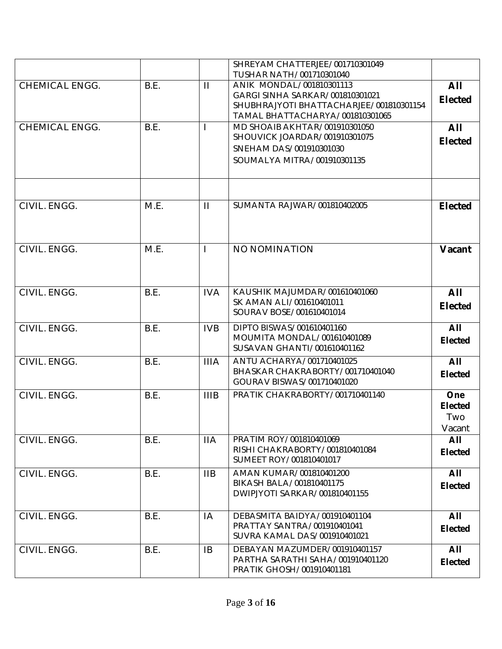|                       |      |              | SHREYAM CHATTERJEE/001710301049                                            |                       |
|-----------------------|------|--------------|----------------------------------------------------------------------------|-----------------------|
|                       |      |              | TUSHAR NATH/001710301040                                                   |                       |
| CHEMICAL ENGG.        | B.E. | $\mathbf{H}$ | ANIK MONDAL/001810301113                                                   | All                   |
|                       |      |              | GARGI SINHA SARKAR/001810301021                                            | <b>Elected</b>        |
|                       |      |              | SHUBHRAJYOTI BHATTACHARJEE/001810301154<br>TAMAL BHATTACHARYA/001810301065 |                       |
| <b>CHEMICAL ENGG.</b> | B.E. |              | MD SHOAIB AKHTAR/001910301050                                              | All                   |
|                       |      |              | SHOUVICK JOARDAR/001910301075                                              |                       |
|                       |      |              | SNEHAM DAS/001910301030                                                    | <b>Elected</b>        |
|                       |      |              | SOUMALYA MITRA/001910301135                                                |                       |
|                       |      |              |                                                                            |                       |
|                       |      |              |                                                                            |                       |
|                       |      |              |                                                                            |                       |
| CIVIL. ENGG.          | M.E. | $\mathbf{H}$ | SUMANTA RAJWAR/001810402005                                                | <b>Elected</b>        |
|                       |      |              |                                                                            |                       |
|                       |      |              |                                                                            |                       |
|                       |      |              |                                                                            |                       |
| CIVIL. ENGG.          | M.E. | $\mathbf{I}$ | NO NOMINATION                                                              | Vacant                |
|                       |      |              |                                                                            |                       |
|                       |      |              |                                                                            |                       |
|                       |      |              |                                                                            |                       |
| CIVIL. ENGG.          | B.E. | <b>IVA</b>   | KAUSHIK MAJUMDAR/001610401060<br>SK AMAN ALI/001610401011                  | All                   |
|                       |      |              | SOURAV BOSE/001610401014                                                   | <b>Elected</b>        |
|                       |      |              |                                                                            |                       |
| CIVIL. ENGG.          | B.E. | <b>IVB</b>   | DIPTO BISWAS/001610401160                                                  | All                   |
|                       |      |              | MOUMITA MONDAL/001610401089<br>SUSAVAN GHANTI/001610401162                 | <b>Elected</b>        |
|                       |      |              |                                                                            |                       |
| CIVIL. ENGG.          | B.E. | <b>IIIA</b>  | ANTU ACHARYA/001710401025                                                  | All                   |
|                       |      |              | BHASKAR CHAKRABORTY/001710401040<br>GOURAV BISWAS/001710401020             | <b>Elected</b>        |
|                       |      |              | PRATIK CHAKRABORTY/001710401140                                            |                       |
| CIVIL. ENGG.          | B.E. | <b>IIIB</b>  |                                                                            | One<br><b>Elected</b> |
|                       |      |              |                                                                            | Two                   |
|                       |      |              |                                                                            | Vacant                |
| CIVIL. ENGG.          | B.E. | <b>IIA</b>   | PRATIM ROY/001810401069                                                    | All                   |
|                       |      |              | RISHI CHAKRABORTY/001810401084                                             | <b>Elected</b>        |
|                       |      |              | SUMEET ROY/001810401017                                                    |                       |
| CIVIL. ENGG.          | B.E. | IIB          | AMAN KUMAR/001810401200                                                    | All                   |
|                       |      |              | BIKASH BALA/001810401175                                                   | <b>Elected</b>        |
|                       |      |              | DWIPJYOTI SARKAR/001810401155                                              |                       |
|                       |      |              |                                                                            |                       |
| CIVIL. ENGG.          | B.E. | IA           | DEBASMITA BAIDYA/001910401104                                              | All                   |
|                       |      |              | PRATTAY SANTRA/001910401041                                                | <b>Elected</b>        |
|                       |      |              | SUVRA KAMAL DAS/001910401021                                               |                       |
| CIVIL. ENGG.          | B.E. | <b>IB</b>    | DEBAYAN MAZUMDER/001910401157                                              | All                   |
|                       |      |              | PARTHA SARATHI SAHA/001910401120                                           | <b>Elected</b>        |
|                       |      |              | PRATIK GHOSH/001910401181                                                  |                       |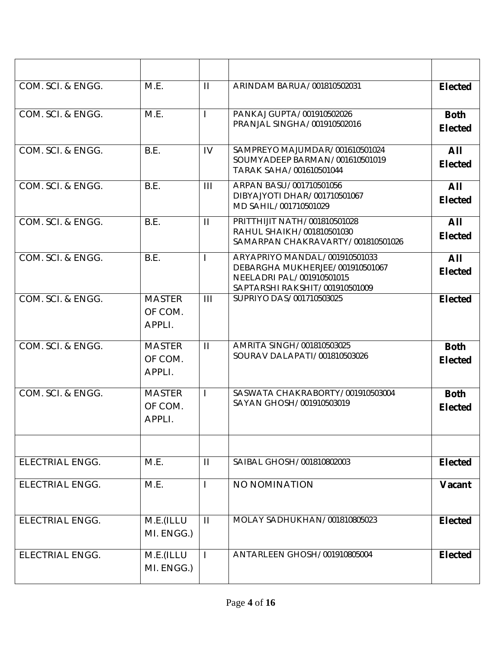| COM. SCI. & ENGG.      | M.E.                               | $\mathbf{H}$          | ARINDAM BARUA/001810502031                                                                                                      | <b>Elected</b>                |
|------------------------|------------------------------------|-----------------------|---------------------------------------------------------------------------------------------------------------------------------|-------------------------------|
| COM. SCI. & ENGG.      | M.E.                               | $\mathbf{I}$          | PANKAJ GUPTA/001910502026<br>PRANJAL SINGHA/001910502016                                                                        | <b>Both</b><br><b>Elected</b> |
| COM. SCI. & ENGG.      | B.E.                               | IV                    | SAMPREYO MAJUMDAR/001610501024<br>SOUMYADEEP BARMAN/001610501019<br>TARAK SAHA/001610501044                                     | All<br><b>Elected</b>         |
| COM. SCI. & ENGG.      | B.E.                               | $\mathbf{III}$        | ARPAN BASU/001710501056<br>DIBYAJYOTI DHAR/001710501067<br>MD SAHIL/001710501029                                                | All<br><b>Elected</b>         |
| COM. SCI. & ENGG.      | B.E.                               | $\mathbf{H}$          | PRITTHIJIT NATH/001810501028<br>RAHUL SHAIKH/001810501030<br>SAMARPAN CHAKRAVARTY/001810501026                                  | All<br><b>Elected</b>         |
| COM. SCI. & ENGG.      | B.E.                               | $\mathbf{I}$          | ARYAPRIYO MANDAL/001910501033<br>DEBARGHA MUKHERJEE/001910501067<br>NEELADRI PAL/001910501015<br>SAPTARSHI RAKSHIT/001910501009 | All<br><b>Elected</b>         |
| COM. SCI. & ENGG.      | <b>MASTER</b><br>OF COM.<br>APPLI. | $\mathbf{III}$        | SUPRIYO DAS/001710503025                                                                                                        | <b>Elected</b>                |
| COM. SCI. & ENGG.      | <b>MASTER</b><br>OF COM.<br>APPLI. | $\mathbf{H}$          | AMRITA SINGH/001810503025<br>SOURAV DALAPATI/001810503026                                                                       | <b>Both</b><br><b>Elected</b> |
| COM. SCI. & ENGG.      | <b>MASTER</b><br>OF COM.<br>APPLI. | $\mathbf{I}$          | SASWATA CHAKRABORTY/001910503004<br>SAYAN GHOSH/001910503019                                                                    | <b>Both</b><br><b>Elected</b> |
| ELECTRIAL ENGG.        | M.E.                               | $\mathbf{\mathsf{H}}$ | SAIBAL GHOSH/001810802003                                                                                                       | <b>Elected</b>                |
| <b>ELECTRIAL ENGG.</b> | M.E.                               |                       | NO NOMINATION                                                                                                                   | Vacant                        |
| <b>ELECTRIAL ENGG.</b> | M.E.(ILLU<br>MI. ENGG.)            | $\mathbf{H}$          | MOLAY SADHUKHAN/001810805023                                                                                                    | <b>Elected</b>                |
| <b>ELECTRIAL ENGG.</b> | M.E.(ILLU<br>MI. ENGG.)            | $\overline{1}$        | ANTARLEEN GHOSH/001910805004                                                                                                    | <b>Elected</b>                |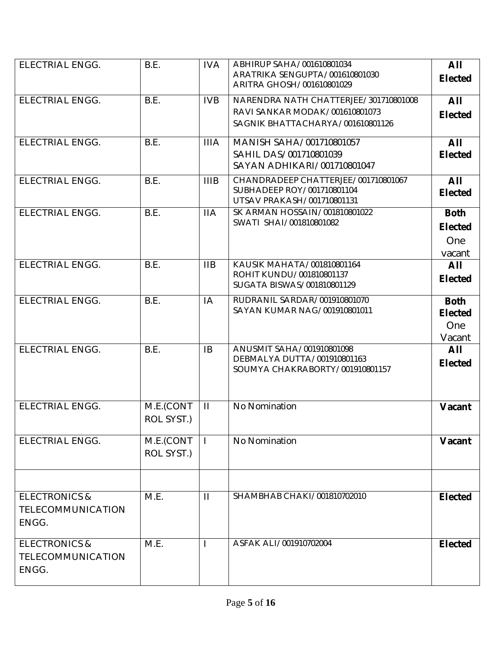| <b>ELECTRIAL ENGG.</b>   | B.E.       | <b>IVA</b>   | ABHIRUP SAHA/001610801034                                         | All            |
|--------------------------|------------|--------------|-------------------------------------------------------------------|----------------|
|                          |            |              | ARATRIKA SENGUPTA/001610801030<br>ARITRA GHOSH/001610801029       | <b>Elected</b> |
| <b>ELECTRIAL ENGG.</b>   | B.E.       | <b>IVB</b>   | NARENDRA NATH CHATTERJEE/301710801008                             | All            |
|                          |            |              | RAVI SANKAR MODAK/001610801073                                    | <b>Elected</b> |
|                          |            |              | SAGNIK BHATTACHARYA/001610801126                                  |                |
| <b>ELECTRIAL ENGG.</b>   | B.E.       | <b>IIIA</b>  | MANISH SAHA/001710801057                                          | All            |
|                          |            |              | SAHIL DAS/001710801039                                            | <b>Elected</b> |
|                          |            |              | SAYAN ADHIKARI/001710801047                                       |                |
| <b>ELECTRIAL ENGG.</b>   | B.E.       | <b>IIIB</b>  | CHANDRADEEP CHATTERJEE/001710801067<br>SUBHADEEP ROY/001710801104 | All            |
|                          |            |              | UTSAV PRAKASH/001710801131                                        | <b>Elected</b> |
| <b>ELECTRIAL ENGG.</b>   | B.E.       | <b>IIA</b>   | SK ARMAN HOSSAIN/001810801022                                     | <b>Both</b>    |
|                          |            |              | SWATI SHAI/001810801082                                           | <b>Elected</b> |
|                          |            |              |                                                                   | One            |
|                          |            |              |                                                                   | vacant         |
| <b>ELECTRIAL ENGG.</b>   | B.E.       | <b>IIB</b>   | KAUSIK MAHATA/001810801164<br>ROHIT KUNDU/001810801137            | All            |
|                          |            |              | SUGATA BISWAS/001810801129                                        | <b>Elected</b> |
| <b>ELECTRIAL ENGG.</b>   | B.E.       | IA           | RUDRANIL SARDAR/001910801070                                      | <b>Both</b>    |
|                          |            |              | SAYAN KUMAR NAG/001910801011                                      | <b>Elected</b> |
|                          |            |              |                                                                   | One            |
|                          |            |              |                                                                   | Vacant         |
| <b>ELECTRIAL ENGG.</b>   | B.E.       | <b>IB</b>    | ANUSMIT SAHA/001910801098<br>DEBMALYA DUTTA/001910801163          | All            |
|                          |            |              | SOUMYA CHAKRABORTY/001910801157                                   | <b>Elected</b> |
|                          |            |              |                                                                   |                |
|                          |            |              |                                                                   |                |
| <b>ELECTRIAL ENGG.</b>   | M.E.(CONT  | $\mathbf{H}$ | No Nomination                                                     | Vacant         |
|                          | ROL SYST.) |              |                                                                   |                |
| <b>ELECTRIAL ENGG.</b>   | M.E.(CONT  |              | No Nomination                                                     | Vacant         |
|                          | ROL SYST.) |              |                                                                   |                |
|                          |            |              |                                                                   |                |
|                          |            |              |                                                                   |                |
| <b>ELECTRONICS &amp;</b> | M.E.       | $\mathbf{H}$ | SHAMBHAB CHAKI/001810702010                                       | <b>Elected</b> |
| TELECOMMUNICATION        |            |              |                                                                   |                |
| ENGG.                    |            |              |                                                                   |                |
| <b>ELECTRONICS &amp;</b> | M.E.       |              | ASFAK ALI/001910702004                                            | <b>Elected</b> |
| <b>TELECOMMUNICATION</b> |            |              |                                                                   |                |
| ENGG.                    |            |              |                                                                   |                |
|                          |            |              |                                                                   |                |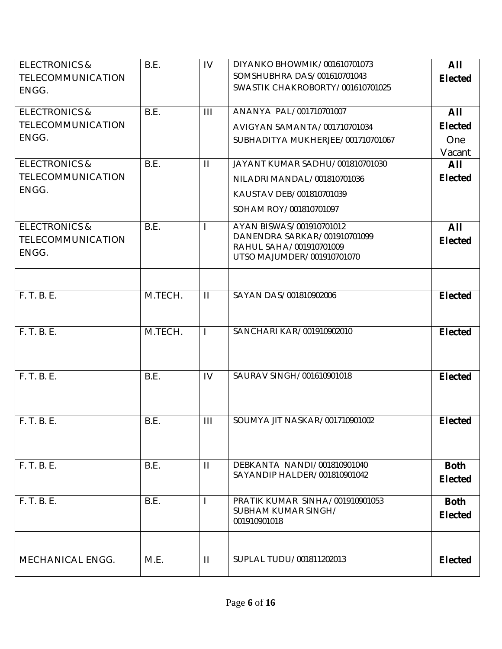| <b>ELECTRONICS &amp;</b> | B.E.    | IV             | DIYANKO BHOWMIK/001610701073                          | All            |
|--------------------------|---------|----------------|-------------------------------------------------------|----------------|
| <b>TELECOMMUNICATION</b> |         |                | SOMSHUBHRA DAS/001610701043                           | <b>Elected</b> |
| ENGG.                    |         |                | SWASTIK CHAKROBORTY/001610701025                      |                |
|                          |         |                |                                                       |                |
| <b>ELECTRONICS &amp;</b> | B.E.    | $\mathbf{III}$ | ANANYA PAL/001710701007                               | All            |
| <b>TELECOMMUNICATION</b> |         |                | AVIGYAN SAMANTA/001710701034                          | <b>Elected</b> |
| ENGG.                    |         |                | SUBHADITYA MUKHERJEE/001710701067                     | One            |
|                          |         |                |                                                       | Vacant         |
| <b>ELECTRONICS &amp;</b> | B.E.    | $\mathbf{H}$   | JAYANT KUMAR SADHU/001810701030                       | All            |
| <b>TELECOMMUNICATION</b> |         |                | NILADRI MANDAL/001810701036                           | <b>Elected</b> |
| ENGG.                    |         |                | KAUSTAV DEB/001810701039                              |                |
|                          |         |                | SOHAM ROY/001810701097                                |                |
| <b>ELECTRONICS &amp;</b> | B.E.    |                | AYAN BISWAS/001910701012                              | All            |
| <b>TELECOMMUNICATION</b> |         |                | DANENDRA SARKAR/001910701099                          | <b>Elected</b> |
| ENGG.                    |         |                | RAHUL SAHA/001910701009<br>UTSO MAJUMDER/001910701070 |                |
|                          |         |                |                                                       |                |
|                          |         |                |                                                       |                |
| F. T. B. E.              | M.TECH. | $\mathbf{H}$   | SAYAN DAS/001810902006                                | <b>Elected</b> |
|                          |         |                |                                                       |                |
|                          |         |                |                                                       |                |
| F. T. B. E.              | M.TECH. | $\mathbf{I}$   | SANCHARI KAR/001910902010                             | <b>Elected</b> |
|                          |         |                |                                                       |                |
|                          |         |                |                                                       |                |
| F. T. B. E.              | B.E.    | IV             | SAURAV SINGH/001610901018                             | <b>Elected</b> |
|                          |         |                |                                                       |                |
|                          |         |                |                                                       |                |
| F. T. B. E.              | B.E.    | $\mathbf{III}$ | SOUMYA JIT NASKAR/001710901002                        | <b>Elected</b> |
|                          |         |                |                                                       |                |
|                          |         |                |                                                       |                |
| F. T. B. E.              | B.E.    | $\mathbf{H}$   | DEBKANTA NANDI/001810901040                           | <b>Both</b>    |
|                          |         |                | SAYANDIP HALDER/001810901042                          |                |
|                          |         |                |                                                       | <b>Elected</b> |
| F. T. B. E.              | B.E.    |                | PRATIK KUMAR SINHA/001910901053                       | <b>Both</b>    |
|                          |         |                | SUBHAM KUMAR SINGH/                                   | <b>Elected</b> |
|                          |         |                | 001910901018                                          |                |
|                          |         |                |                                                       |                |
| MECHANICAL ENGG.         | M.E.    | $\mathbf{H}$   | SUPLAL TUDU/001811202013                              | <b>Elected</b> |
|                          |         |                |                                                       |                |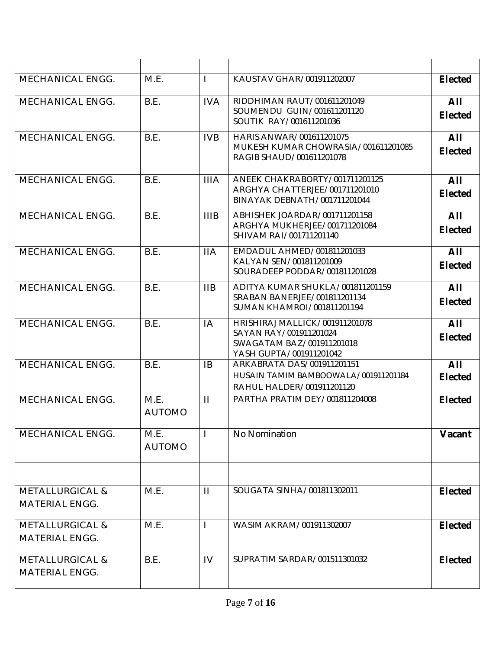| <b>MECHANICAL ENGG.</b>                             | M.E.                  |              | KAUSTAV GHAR/001911202007                                                                                        | <b>Elected</b>        |
|-----------------------------------------------------|-----------------------|--------------|------------------------------------------------------------------------------------------------------------------|-----------------------|
| MECHANICAL ENGG.                                    | B.E.                  | <b>IVA</b>   | RIDDHIMAN RAUT/001611201049<br>SOUMENDU GUIN/001611201120<br>SOUTIK RAY/001611201036                             | All<br><b>Elected</b> |
| <b>MECHANICAL ENGG.</b>                             | B.E.                  | <b>IVB</b>   | HARIS ANWAR/001611201075<br>MUKESH KUMAR CHOWRASIA/001611201085<br>RAGIB SHAUD/001611201078                      | All<br><b>Elected</b> |
| <b>MECHANICAL ENGG.</b>                             | B.E.                  | <b>IIIA</b>  | ANEEK CHAKRABORTY/001711201125<br>ARGHYA CHATTERJEE/001711201010<br>BINAYAK DEBNATH/001711201044                 | All<br><b>Elected</b> |
| <b>MECHANICAL ENGG.</b>                             | B.E.                  | <b>IIIB</b>  | ABHISHEK JOARDAR/001711201158<br>ARGHYA MUKHERJEE/001711201084<br>SHIVAM RAI/001711201140                        | All<br><b>Elected</b> |
| <b>MECHANICAL ENGG.</b>                             | B.E.                  | <b>IIA</b>   | EMDADUL AHMED/001811201033<br>KALYAN SEN/001811201009<br>SOURADEEP PODDAR/001811201028                           | All<br><b>Elected</b> |
| MECHANICAL ENGG.                                    | B.E.                  | IIB          | ADITYA KUMAR SHUKLA/001811201159<br>SRABAN BANERJEE/001811201134<br>SUMAN KHAMROI/001811201194                   | All<br><b>Elected</b> |
| <b>MECHANICAL ENGG.</b>                             | B.E.                  | IA           | HRISHIRAJ MALLICK/001911201078<br>SAYAN RAY/001911201024<br>SWAGATAM BAZ/001911201018<br>YASH GUPTA/001911201042 | All<br><b>Elected</b> |
| <b>MECHANICAL ENGG.</b>                             | B.E.                  | <b>IB</b>    | ARKABRATA DAS/001911201151<br>HUSAIN TAMIM BAMBOOWALA/001911201184<br>RAHUL HALDER/001911201120                  | All<br><b>Elected</b> |
| MECHANICAL ENGG.                                    | M.E.<br><b>AUTOMO</b> | $\mathbf{H}$ | PARTHA PRATIM DEY/001811204008                                                                                   | <b>Elected</b>        |
| MECHANICAL ENGG.                                    | M.E.<br><b>AUTOMO</b> |              | No Nomination                                                                                                    | Vacant                |
| <b>METALLURGICAL &amp;</b><br><b>MATERIAL ENGG.</b> | M.E.                  | $\mathbf{H}$ | SOUGATA SINHA/001811302011                                                                                       | <b>Elected</b>        |
| <b>METALLURGICAL &amp;</b><br><b>MATERIAL ENGG.</b> | M.E.                  |              | WASIM AKRAM/001911302007                                                                                         | <b>Elected</b>        |
| <b>METALLURGICAL &amp;</b><br><b>MATERIAL ENGG.</b> | B.E.                  | IV           | SUPRATIM SARDAR/001511301032                                                                                     | <b>Elected</b>        |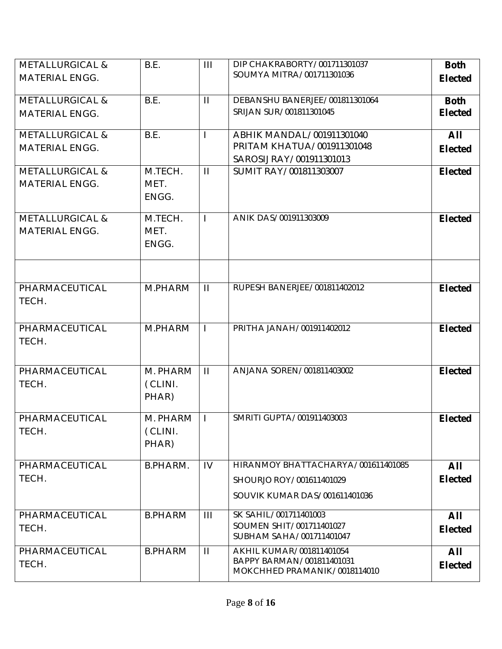| <b>METALLURGICAL &amp;</b> | B.E.            | III            | DIP CHAKRABORTY/001711301037                              | <b>Both</b>    |
|----------------------------|-----------------|----------------|-----------------------------------------------------------|----------------|
| <b>MATERIAL ENGG.</b>      |                 |                | SOUMYA MITRA/001711301036                                 | <b>Elected</b> |
|                            |                 |                |                                                           |                |
| <b>METALLURGICAL &amp;</b> | B.E.            | $\mathbf{H}$   | DEBANSHU BANERJEE/001811301064                            | <b>Both</b>    |
| <b>MATERIAL ENGG.</b>      |                 |                | SRIJAN SUR/001811301045                                   | <b>Elected</b> |
| <b>METALLURGICAL &amp;</b> | B.E.            | $\mathbf{I}$   | ABHIK MANDAL/001911301040                                 | All            |
| <b>MATERIAL ENGG.</b>      |                 |                | PRITAM KHATUA/001911301048                                | <b>Elected</b> |
|                            |                 |                | SAROSIJ RAY/001911301013                                  |                |
| <b>METALLURGICAL &amp;</b> | M.TECH.         | $\mathbf{H}$   | SUMIT RAY/001811303007                                    | <b>Elected</b> |
| <b>MATERIAL ENGG.</b>      | MET.            |                |                                                           |                |
|                            | ENGG.           |                |                                                           |                |
| <b>METALLURGICAL &amp;</b> | M.TECH.         | $\mathbf{I}$   | ANIK DAS/001911303009                                     | <b>Elected</b> |
| <b>MATERIAL ENGG.</b>      | MET.            |                |                                                           |                |
|                            | ENGG.           |                |                                                           |                |
|                            |                 |                |                                                           |                |
| PHARMACEUTICAL             | M.PHARM         | $\mathbf{H}$   | RUPESH BANERJEE/001811402012                              | <b>Elected</b> |
| TECH.                      |                 |                |                                                           |                |
|                            |                 |                |                                                           |                |
| PHARMACEUTICAL             | M.PHARM         |                | PRITHA JANAH/001911402012                                 | <b>Elected</b> |
| TECH.                      |                 |                |                                                           |                |
|                            |                 |                |                                                           |                |
| PHARMACEUTICAL             | M. PHARM        | $\mathbf{H}$   | ANJANA SOREN/001811403002                                 | <b>Elected</b> |
| TECH.                      | (CLINI.         |                |                                                           |                |
|                            | PHAR)           |                |                                                           |                |
| PHARMACEUTICAL             | M. PHARM        |                | SMRITI GUPTA/001911403003                                 | <b>Elected</b> |
| TECH.                      | (CLINI.         |                |                                                           |                |
|                            | PHAR)           |                |                                                           |                |
|                            |                 |                |                                                           |                |
| PHARMACEUTICAL             | <b>B.PHARM.</b> | IV             | HIRANMOY BHATTACHARYA/001611401085                        | All            |
| TECH.                      |                 |                | SHOURJO ROY/001611401029                                  | <b>Elected</b> |
|                            |                 |                | SOUVIK KUMAR DAS/001611401036                             |                |
| PHARMACEUTICAL             | <b>B.PHARM</b>  | $\mathbf{III}$ | SK SAHIL/001711401003                                     | All            |
| TECH.                      |                 |                | SOUMEN SHIT/001711401027                                  | <b>Elected</b> |
|                            |                 |                | SUBHAM SAHA/001711401047                                  |                |
| PHARMACEUTICAL             | <b>B.PHARM</b>  | $\mathbf{H}$   | AKHIL KUMAR/001811401054                                  | All            |
| TECH.                      |                 |                | BAPPY BARMAN/001811401031<br>MOKCHHED PRAMANIK/0018114010 | <b>Elected</b> |
|                            |                 |                |                                                           |                |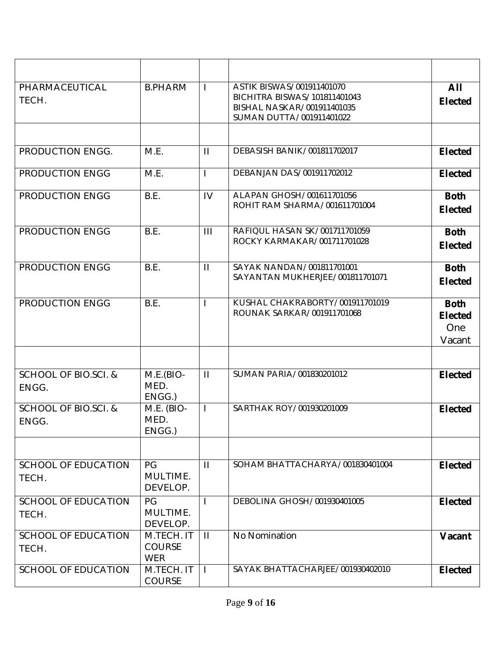| PHARMACEUTICAL<br>TECH.                  | <b>B.PHARM</b>                            | $\mathbf{I}$   | ASTIK BISWAS/001911401070<br>BICHITRA BISWAS/101811401043<br>BISHAL NASKAR/001911401035<br>SUMAN DUTTA/001911401022 | AII<br><b>Elected</b>                          |
|------------------------------------------|-------------------------------------------|----------------|---------------------------------------------------------------------------------------------------------------------|------------------------------------------------|
|                                          |                                           |                |                                                                                                                     |                                                |
| PRODUCTION ENGG.                         | M.E.                                      | $\mathbf{H}$   | DEBASISH BANIK/001811702017                                                                                         | <b>Elected</b>                                 |
| PRODUCTION ENGG                          | M.E.                                      | $\mathbf{I}$   | DEBANJAN DAS/001911702012                                                                                           | <b>Elected</b>                                 |
| PRODUCTION ENGG                          | B.E.                                      | IV             | ALAPAN GHOSH/001611701056<br>ROHIT RAM SHARMA/001611701004                                                          | <b>Both</b><br><b>Elected</b>                  |
| PRODUCTION ENGG                          | B.E.                                      | $\mathbf{III}$ | RAFIQUL HASAN SK/001711701059<br>ROCKY KARMAKAR/001711701028                                                        | <b>Both</b><br><b>Elected</b>                  |
| PRODUCTION ENGG                          | B.E.                                      | $\mathbf{H}$   | SAYAK NANDAN/001811701001<br>SAYANTAN MUKHERJEE/001811701071                                                        | <b>Both</b><br><b>Elected</b>                  |
| PRODUCTION ENGG                          | B.E.                                      | $\mathbf{I}$   | KUSHAL CHAKRABORTY/001911701019<br>ROUNAK SARKAR/001911701068                                                       | <b>Both</b><br><b>Elected</b><br>One<br>Vacant |
|                                          |                                           |                |                                                                                                                     |                                                |
| SCHOOL OF BIO.SCI. &<br>ENGG.            | $M.E.(BIO-$<br>MED.<br>ENGG.)             | $\mathbf{H}$   | SUMAN PARIA/001830201012                                                                                            | <b>Elected</b>                                 |
| <b>SCHOOL OF BIO.SCI. &amp;</b><br>ENGG. | M.E. (BIO-<br>MED.<br>ENGG.)              | $\mathbf{I}$   | SARTHAK ROY/001930201009                                                                                            | <b>Elected</b>                                 |
|                                          |                                           |                |                                                                                                                     |                                                |
| <b>SCHOOL OF EDUCATION</b><br>TECH.      | PG<br>MULTIME.<br>DEVELOP.                | $\mathbf{H}$   | SOHAM BHATTACHARYA/001830401004                                                                                     | <b>Elected</b>                                 |
| <b>SCHOOL OF EDUCATION</b><br>TECH.      | PG<br>MULTIME.<br>DEVELOP.                | $\mathbf{I}$   | DEBOLINA GHOSH/001930401005                                                                                         | <b>Elected</b>                                 |
| <b>SCHOOL OF EDUCATION</b><br>TECH.      | M.TECH. IT<br><b>COURSE</b><br><b>WER</b> | $\mathbf{H}$   | No Nomination                                                                                                       | Vacant                                         |
| <b>SCHOOL OF EDUCATION</b>               | M.TECH. IT<br><b>COURSE</b>               | $\mathbf{I}$   | SAYAK BHATTACHARJEE/001930402010                                                                                    | <b>Elected</b>                                 |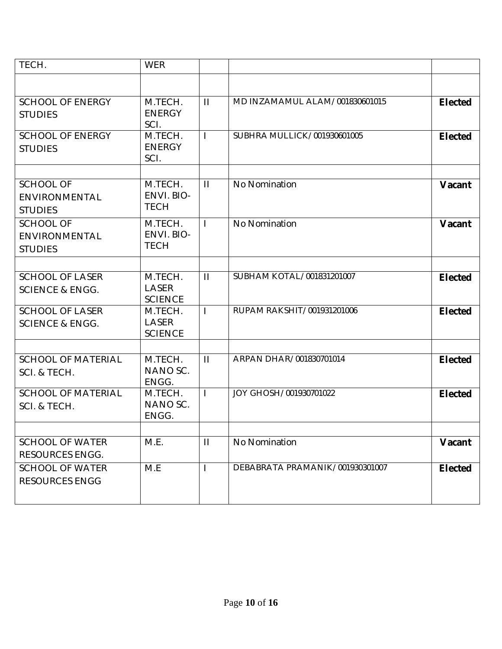| TECH.                                                | <b>WER</b>                                |              |                                 |                |
|------------------------------------------------------|-------------------------------------------|--------------|---------------------------------|----------------|
|                                                      |                                           |              |                                 |                |
| <b>SCHOOL OF ENERGY</b><br><b>STUDIES</b>            | M.TECH.<br><b>ENERGY</b><br>SCI.          | $\mathbf{H}$ | MD INZAMAMUL ALAM/001830601015  | <b>Elected</b> |
| <b>SCHOOL OF ENERGY</b><br><b>STUDIES</b>            | M.TECH.<br><b>ENERGY</b><br>SCI.          | $\mathbf{I}$ | SUBHRA MULLICK/001930601005     | <b>Elected</b> |
| <b>SCHOOL OF</b><br>ENVIRONMENTAL<br><b>STUDIES</b>  | M.TECH.<br>ENVI. BIO-<br><b>TECH</b>      | $\mathbf{H}$ | No Nomination                   | Vacant         |
| <b>SCHOOL OF</b><br>ENVIRONMENTAL<br><b>STUDIES</b>  | M.TECH.<br>ENVI. BIO-<br><b>TECH</b>      | $\mathbf{I}$ | No Nomination                   | Vacant         |
|                                                      |                                           |              |                                 |                |
| <b>SCHOOL OF LASER</b><br><b>SCIENCE &amp; ENGG.</b> | M.TECH.<br><b>LASER</b><br><b>SCIENCE</b> | $\mathbf{H}$ | SUBHAM KOTAL/001831201007       | <b>Elected</b> |
| <b>SCHOOL OF LASER</b><br><b>SCIENCE &amp; ENGG.</b> | M.TECH.<br>LASER<br><b>SCIENCE</b>        | $\mathbf{L}$ | RUPAM RAKSHIT/001931201006      | <b>Elected</b> |
| <b>SCHOOL OF MATERIAL</b><br>SCI. & TECH.            | M.TECH.<br>NANO SC.<br>ENGG.              | $\mathbf{H}$ | ARPAN DHAR/001830701014         | <b>Elected</b> |
| <b>SCHOOL OF MATERIAL</b><br>SCI. & TECH.            | M.TECH.<br>NANO SC.<br>ENGG.              | $\mathbf{I}$ | JOY GHOSH/001930701022          | <b>Elected</b> |
|                                                      |                                           |              |                                 |                |
| <b>SCHOOL OF WATER</b><br><b>RESOURCES ENGG.</b>     | M.E.                                      | $\mathbf{H}$ | No Nomination                   | Vacant         |
| <b>SCHOOL OF WATER</b><br><b>RESOURCES ENGG</b>      | M.E                                       | $\mathbf{I}$ | DEBABRATA PRAMANIK/001930301007 | <b>Elected</b> |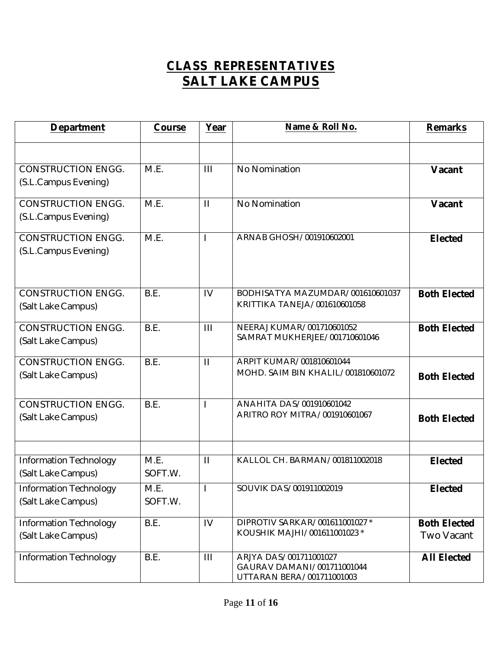# **CLASS REPRESENTATIVES SALT LAKE CAMPUS**

| <b>Department</b>                                   | Course          | Year           | Name & Roll No.                                                                   | <b>Remarks</b>                           |
|-----------------------------------------------------|-----------------|----------------|-----------------------------------------------------------------------------------|------------------------------------------|
|                                                     |                 |                |                                                                                   |                                          |
| <b>CONSTRUCTION ENGG.</b><br>(S.L.Campus Evening)   | M.E.            | $\mathbf{III}$ | No Nomination                                                                     | Vacant                                   |
| <b>CONSTRUCTION ENGG.</b><br>(S.L.Campus Evening)   | M.E.            | $\mathbf{H}$   | No Nomination                                                                     | Vacant                                   |
| <b>CONSTRUCTION ENGG.</b><br>(S.L.Campus Evening)   | M.E.            | I              | ARNAB GHOSH/001910602001                                                          | <b>Elected</b>                           |
| <b>CONSTRUCTION ENGG.</b><br>(Salt Lake Campus)     | B.E.            | IV             | BODHISATYA MAZUMDAR/001610601037<br>KRITTIKA TANEJA/001610601058                  | <b>Both Elected</b>                      |
| <b>CONSTRUCTION ENGG.</b><br>(Salt Lake Campus)     | B.E.            | III            | NEERAJ KUMAR/001710601052<br>SAMRAT MUKHERJEE/001710601046                        | <b>Both Elected</b>                      |
| <b>CONSTRUCTION ENGG.</b><br>(Salt Lake Campus)     | B.E.            | $\mathbf{H}$   | ARPIT KUMAR/001810601044<br>MOHD. SAIM BIN KHALIL/001810601072                    | <b>Both Elected</b>                      |
| <b>CONSTRUCTION ENGG.</b><br>(Salt Lake Campus)     | B.E.            | I              | ANAHITA DAS/001910601042<br>ARITRO ROY MITRA/001910601067                         | <b>Both Elected</b>                      |
| <b>Information Technology</b><br>(Salt Lake Campus) | M.E.<br>SOFT.W. | $\mathbf{H}$   | KALLOL CH. BARMAN/001811002018                                                    | <b>Elected</b>                           |
| <b>Information Technology</b><br>(Salt Lake Campus) | M.E.<br>SOFT.W. | $\mathbf{I}$   | SOUVIK DAS/001911002019                                                           | <b>Elected</b>                           |
| <b>Information Technology</b><br>(Salt Lake Campus) | B.E.            | IV             | DIPROTIV SARKAR/001611001027 *<br>KOUSHIK MAJHI/001611001023 *                    | <b>Both Elected</b><br><b>Two Vacant</b> |
| <b>Information Technology</b>                       | B.E.            | $\mathbf{III}$ | ARJYA DAS/001711001027<br>GAURAV DAMANI/001711001044<br>UTTARAN BERA/001711001003 | <b>All Elected</b>                       |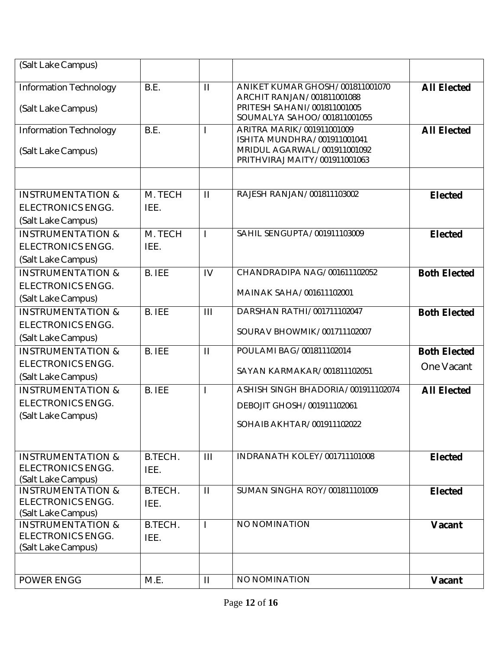| (Salt Lake Campus)                                                             |                 |                |                                                                                                                             |                                   |
|--------------------------------------------------------------------------------|-----------------|----------------|-----------------------------------------------------------------------------------------------------------------------------|-----------------------------------|
| <b>Information Technology</b><br>(Salt Lake Campus)                            | B.E.            | $\mathbf{H}$   | ANIKET KUMAR GHOSH/001811001070<br>ARCHIT RANJAN/001811001088<br>PRITESH SAHANI/001811001005<br>SOUMALYA SAHOO/001811001055 | <b>All Elected</b>                |
| <b>Information Technology</b><br>(Salt Lake Campus)                            | B.E.            |                | ARITRA MARIK/001911001009<br>ISHITA MUNDHRA/001911001041<br>MRIDUL AGARWAL/001911001092<br>PRITHVIRAJ MAITY/001911001063    | <b>All Elected</b>                |
|                                                                                |                 |                |                                                                                                                             |                                   |
| <b>INSTRUMENTATION &amp;</b><br><b>ELECTRONICS ENGG.</b><br>(Salt Lake Campus) | M. TECH<br>IEE. | $\mathbf{II}$  | RAJESH RANJAN/001811103002                                                                                                  | <b>Elected</b>                    |
| <b>INSTRUMENTATION &amp;</b><br><b>ELECTRONICS ENGG.</b><br>(Salt Lake Campus) | M. TECH<br>IEE. | T              | SAHIL SENGUPTA/001911103009                                                                                                 | <b>Elected</b>                    |
| <b>INSTRUMENTATION &amp;</b><br><b>ELECTRONICS ENGG.</b><br>(Salt Lake Campus) | <b>B. IEE</b>   | IV             | CHANDRADIPA NAG/001611102052<br>MAINAK SAHA/001611102001                                                                    | <b>Both Elected</b>               |
| <b>INSTRUMENTATION &amp;</b><br><b>ELECTRONICS ENGG.</b><br>(Salt Lake Campus) | <b>B. IEE</b>   | III            | DARSHAN RATHI/001711102047<br>SOURAV BHOWMIK/001711102007                                                                   | <b>Both Elected</b>               |
| <b>INSTRUMENTATION &amp;</b><br><b>ELECTRONICS ENGG.</b><br>(Salt Lake Campus) | <b>B.</b> IEE   | $\mathbf{H}$   | POULAMI BAG/001811102014<br>SAYAN KARMAKAR/001811102051                                                                     | <b>Both Elected</b><br>One Vacant |
| <b>INSTRUMENTATION &amp;</b><br><b>ELECTRONICS ENGG.</b><br>(Salt Lake Campus) | <b>B. IEE</b>   | T              | ASHISH SINGH BHADORIA/001911102074<br>DEBOJIT GHOSH/001911102061<br>SOHAIB AKHTAR/001911102022                              | <b>All Elected</b>                |
| <b>INSTRUMENTATION &amp;</b><br><b>ELECTRONICS ENGG.</b><br>(Salt Lake Campus) | B.TECH.<br>IEE. | $\mathbf{III}$ | INDRANATH KOLEY/001711101008                                                                                                | <b>Elected</b>                    |
| <b>INSTRUMENTATION &amp;</b><br><b>ELECTRONICS ENGG.</b><br>(Salt Lake Campus) | B.TECH.<br>IEE. | $\mathbf{H}$   | SUMAN SINGHA ROY/001811101009                                                                                               | <b>Elected</b>                    |
| <b>INSTRUMENTATION &amp;</b><br><b>ELECTRONICS ENGG.</b><br>(Salt Lake Campus) | B.TECH.<br>IEE. | L              | NO NOMINATION                                                                                                               | Vacant                            |
| POWER ENGG                                                                     | M.E.            | $\mathbf{H}$   | NO NOMINATION                                                                                                               | Vacant                            |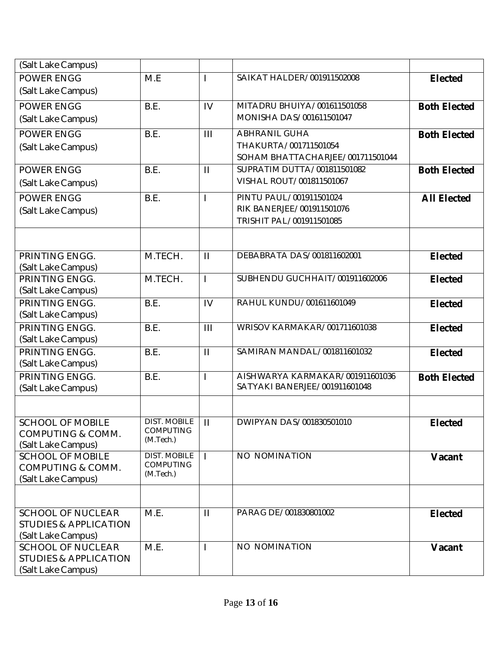| (Salt Lake Campus)                                           |                                         |                         |                                                                  |                     |
|--------------------------------------------------------------|-----------------------------------------|-------------------------|------------------------------------------------------------------|---------------------|
| <b>POWER ENGG</b>                                            | M.E                                     | I.                      | SAIKAT HALDER/001911502008                                       | <b>Elected</b>      |
| (Salt Lake Campus)                                           |                                         |                         |                                                                  |                     |
| <b>POWER ENGG</b>                                            | B.E.                                    | IV                      | MITADRU BHUIYA/001611501058                                      | <b>Both Elected</b> |
| (Salt Lake Campus)                                           |                                         |                         | MONISHA DAS/001611501047                                         |                     |
| <b>POWER ENGG</b>                                            | B.E.                                    | $\mathbf{III}$          | <b>ABHRANIL GUHA</b>                                             | <b>Both Elected</b> |
| (Salt Lake Campus)                                           |                                         |                         | THAKURTA/001711501054                                            |                     |
|                                                              |                                         |                         | SOHAM BHATTACHARJEE/001711501044                                 |                     |
| <b>POWER ENGG</b>                                            | B.E.                                    | $\mathbf{H}$            | SUPRATIM DUTTA/001811501082                                      | <b>Both Elected</b> |
| (Salt Lake Campus)                                           |                                         |                         | VISHAL ROUT/001811501067                                         |                     |
| <b>POWER ENGG</b>                                            | B.E.                                    | ı                       | PINTU PAUL/001911501024                                          | <b>All Elected</b>  |
| (Salt Lake Campus)                                           |                                         |                         | RIK BANERJEE/001911501076                                        |                     |
|                                                              |                                         |                         | TRISHIT PAL/001911501085                                         |                     |
|                                                              |                                         |                         |                                                                  |                     |
| PRINTING ENGG.                                               | M.TECH.                                 | $\mathbf{H}$            | DEBABRATA DAS/001811602001                                       | <b>Elected</b>      |
| (Salt Lake Campus)                                           |                                         |                         |                                                                  |                     |
| PRINTING ENGG.                                               | M.TECH.                                 | $\overline{1}$          | SUBHENDU GUCHHAIT/001911602006                                   | <b>Elected</b>      |
| (Salt Lake Campus)                                           |                                         |                         |                                                                  |                     |
| PRINTING ENGG.                                               | B.E.                                    | IV                      | RAHUL KUNDU/001611601049                                         | <b>Elected</b>      |
| (Salt Lake Campus)                                           |                                         |                         |                                                                  |                     |
| PRINTING ENGG.                                               | B.E.                                    | $\mathbf{III}$          | WRISOV KARMAKAR/001711601038                                     | <b>Elected</b>      |
| (Salt Lake Campus)                                           |                                         |                         |                                                                  |                     |
| PRINTING ENGG.                                               | B.E.                                    | $\mathbf{H}$            | SAMIRAN MANDAL/001811601032                                      | <b>Elected</b>      |
| (Salt Lake Campus)                                           |                                         |                         |                                                                  |                     |
| PRINTING ENGG.                                               | B.E.                                    | ı                       | AISHWARYA KARMAKAR/001911601036<br>SATYAKI BANERJEE/001911601048 | <b>Both Elected</b> |
| (Salt Lake Campus)                                           |                                         |                         |                                                                  |                     |
|                                                              |                                         |                         |                                                                  |                     |
| <b>SCHOOL OF MOBILE</b>                                      | <b>DIST. MOBILE</b><br><b>COMPUTING</b> | $\overline{\mathbf{H}}$ | DWIPYAN DAS/001830501010                                         | <b>Elected</b>      |
| COMPUTING & COMM.                                            | (M.Tech.)                               |                         |                                                                  |                     |
| (Salt Lake Campus)                                           | <b>DIST. MOBILE</b>                     |                         |                                                                  |                     |
| <b>SCHOOL OF MOBILE</b><br><b>COMPUTING &amp; COMM.</b>      | <b>COMPUTING</b>                        | I.                      | NO NOMINATION                                                    | Vacant              |
| (Salt Lake Campus)                                           | (M.Tech.)                               |                         |                                                                  |                     |
|                                                              |                                         |                         |                                                                  |                     |
|                                                              |                                         |                         |                                                                  |                     |
| <b>SCHOOL OF NUCLEAR</b><br><b>STUDIES &amp; APPLICATION</b> | M.E.                                    | $\mathbf{H}$            | PARAG DE/001830801002                                            | <b>Elected</b>      |
| (Salt Lake Campus)                                           |                                         |                         |                                                                  |                     |
| <b>SCHOOL OF NUCLEAR</b>                                     | M.E.                                    | $\mathbf{I}$            | NO NOMINATION                                                    | Vacant              |
| <b>STUDIES &amp; APPLICATION</b>                             |                                         |                         |                                                                  |                     |
| (Salt Lake Campus)                                           |                                         |                         |                                                                  |                     |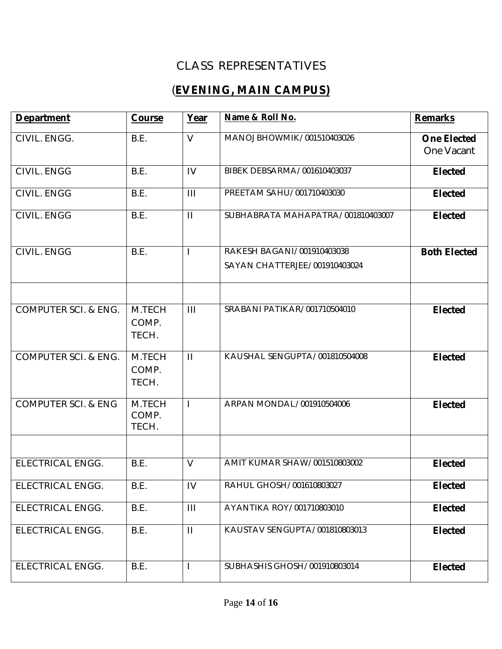### CLASS REPRESENTATIVES

## (**EVENING, MAIN CAMPUS)**

| <b>Department</b>               | Course                   | Year           | Name & Roll No.                   | <b>Remarks</b>                   |
|---------------------------------|--------------------------|----------------|-----------------------------------|----------------------------------|
| CIVIL. ENGG.                    | B.E.                     | $\vee$         | MANOJ BHOWMIK/001510403026        | <b>One Elected</b><br>One Vacant |
| CIVIL. ENGG                     | B.E.                     | IV             | BIBEK DEBSARMA/001610403037       | <b>Elected</b>                   |
| CIVIL. ENGG                     | B.E.                     | $\mathbf{III}$ | PREETAM SAHU/001710403030         | <b>Elected</b>                   |
| CIVIL. ENGG                     | B.E.                     | $\mathbf{H}$   | SUBHABRATA MAHAPATRA/001810403007 | <b>Elected</b>                   |
| CIVIL. ENGG                     | B.E.                     | $\mathbf{I}$   | RAKESH BAGANI/001910403038        | <b>Both Elected</b>              |
|                                 |                          |                | SAYAN CHATTERJEE/001910403024     |                                  |
|                                 |                          |                |                                   |                                  |
| COMPUTER SCI. & ENG.            | M.TECH<br>COMP.<br>TECH. | $\mathbf{III}$ | SRABANI PATIKAR/001710504010      | <b>Elected</b>                   |
| <b>COMPUTER SCI. &amp; ENG.</b> | M.TECH<br>COMP.<br>TECH. | $\mathbf{H}$   | KAUSHAL SENGUPTA/001810504008     | <b>Elected</b>                   |
| <b>COMPUTER SCI. &amp; ENG</b>  | M.TECH<br>COMP.<br>TECH. | $\mathbf{I}$   | ARPAN MONDAL/001910504006         | <b>Elected</b>                   |
|                                 |                          |                |                                   |                                  |
| ELECTRICAL ENGG.                | B.E.                     | $\vee$         | AMIT KUMAR SHAW/001510803002      | <b>Elected</b>                   |
| ELECTRICAL ENGG.                | B.E.                     | IV             | RAHUL GHOSH/001610803027          | <b>Elected</b>                   |
| ELECTRICAL ENGG.                | B.E.                     | $\mathbf{III}$ | AYANTIKA ROY/001710803010         | <b>Elected</b>                   |
| <b>ELECTRICAL ENGG.</b>         | B.E.                     | $\mathbf{H}$   | KAUSTAV SENGUPTA/001810803013     | <b>Elected</b>                   |
| ELECTRICAL ENGG.                | B.E.                     | $\mathbf{I}$   | SUBHASHIS GHOSH/001910803014      | <b>Elected</b>                   |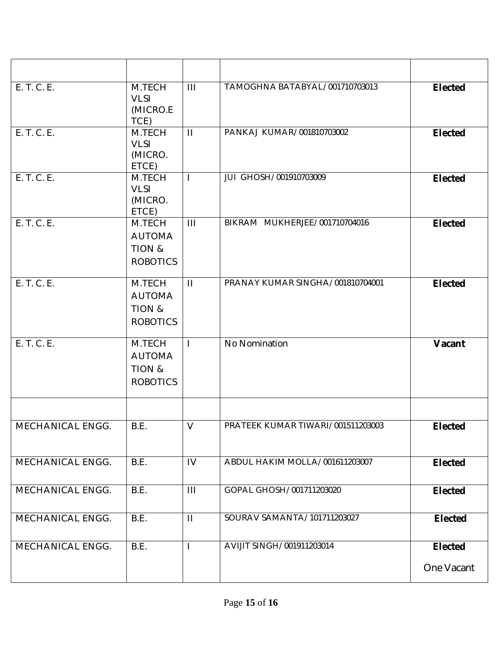| E. T. C. E.      | M.TECH<br><b>VLSI</b><br>(MICRO.E<br>TCE)            | $\mathbf{III}$ | TAMOGHNA BATABYAL/001710703013    | <b>Elected</b>               |
|------------------|------------------------------------------------------|----------------|-----------------------------------|------------------------------|
| E. T. C. E.      | M.TECH<br><b>VLSI</b><br>(MICRO.<br>ETCE)            | $\mathbf{H}$   | PANKAJ KUMAR/001810703002         | <b>Elected</b>               |
| E. T. C. E.      | M.TECH<br><b>VLSI</b><br>(MICRO.<br>ETCE)            | $\mathbf{I}$   | JUI GHOSH/001910703009            | <b>Elected</b>               |
| E. T. C. E.      | M.TECH<br><b>AUTOMA</b><br>TION &<br><b>ROBOTICS</b> | $\mathbf{III}$ | BIKRAM MUKHERJEE/001710704016     | <b>Elected</b>               |
| E. T. C. E.      | M.TECH<br><b>AUTOMA</b><br>TION &<br><b>ROBOTICS</b> | $\mathbf{H}$   | PRANAY KUMAR SINGHA/001810704001  | <b>Elected</b>               |
| E. T. C. E.      | M.TECH<br><b>AUTOMA</b><br>TION &<br><b>ROBOTICS</b> | $\mathbf{I}$   | No Nomination                     | Vacant                       |
| MECHANICAL ENGG. | B.E.                                                 | $\vee$         | PRATEEK KUMAR TIWARI/001511203003 |                              |
|                  |                                                      |                |                                   | <b>Elected</b>               |
| MECHANICAL ENGG. | B.E.                                                 | IV             | ABDUL HAKIM MOLLA/001611203007    | <b>Elected</b>               |
| MECHANICAL ENGG. | B.E.                                                 | $\mathbf{III}$ | GOPAL GHOSH/001711203020          | <b>Elected</b>               |
| MECHANICAL ENGG. | B.E.                                                 | $\mathbf{H}$   | SOURAV SAMANTA/101711203027       | <b>Elected</b>               |
| MECHANICAL ENGG. | B.E.                                                 |                | AVIJIT SINGH/001911203014         | <b>Elected</b><br>One Vacant |